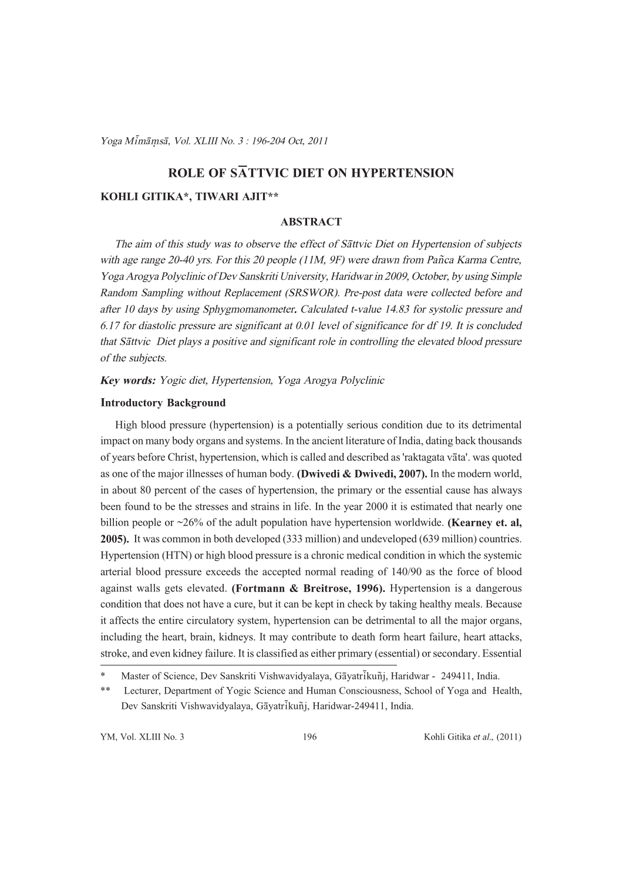Yoga Mimāmsā, Vol. XLIII No. 3 : 196-204 Oct. 2011  $\mathcal{L}$  and  $\mathcal{L}$  is the set of  $\mathcal{L}$ 

# ROLE OF SATTVIC DIET ON HYPERTENSION

### KOHLI GITIKA\*, TIWARI AJIT\*\*

# ABSTRACT

The aim of this study was to observe the effect of Sattvic Diet on Hypertension of subjects with age range 20-40 yrs. For this 20 people (11M, 9F) were drawn from Pañca Karma Centre, Yoga Arogya Polyclinic of Dev Sanskriti University, Haridwar in 2009, October, by using Simple Random Sampling without Replacement (SRSWOR). Pre-post data were collected before and after 10 days by using Sphygmomanometer. Calculated t-value 14.83 for systolic pressure and 6.17 for diastolic pressure are significant at 0.01 level of significance for df 19. It is concluded that Sāttvic Diet plays a positive and significant role in controlling the elevated blood pressure of the subjects.

Key words: Yogic diet, Hypertension, Yoga Arogya Polyclinic

### Introductory Background

High blood pressure (hypertension) is a potentially serious condition due to its detrimental impact on many body organs and systems. In the ancient literature of India, dating back thousands of years before Christ, hypertension, which is called and described as 'raktagata vata'. was quoted as one of the major illnesses of human body. (Dwivedi & Dwivedi, 2007). In the modern world, in about 80 percent of the cases of hypertension, the primary or the essential cause has always been found to be the stresses and strains in life. In the year 2000 it is estimated that nearly one billion people or  $\sim$ 26% of the adult population have hypertension worldwide. (Kearney et. al, 2005). It was common in both developed (333 million) and undeveloped (639 million) countries. Hypertension (HTN) or high blood pressure is a chronic medical condition in which the systemic arterial blood pressure exceeds the accepted normal reading of 140/90 as the force of blood against walls gets elevated. (Fortmann & Breitrose, 1996). Hypertension is a dangerous condition that does not have a cure, but it can be kept in check by taking healthy meals. Because it affects the entire circulatory system, hypertension can be detrimental to all the major organs, including the heart, brain, kidneys. It may contribute to death form heart failure, heart attacks, stroke, and even kidney failure. It is classified as either primary (essential) or secondary. Essential

Master of Science, Dev Sanskriti Vishwavidyalaya, Gāyatrikuñi, Haridwar - 249411, India.

<sup>\*\*</sup> Lecturer, Department of Yogic Science and Human Consciousness, School of Yoga and Health, Dev Sanskriti Vishwavidyalaya, Gāyatrikuñj, Haridwar-249411, India.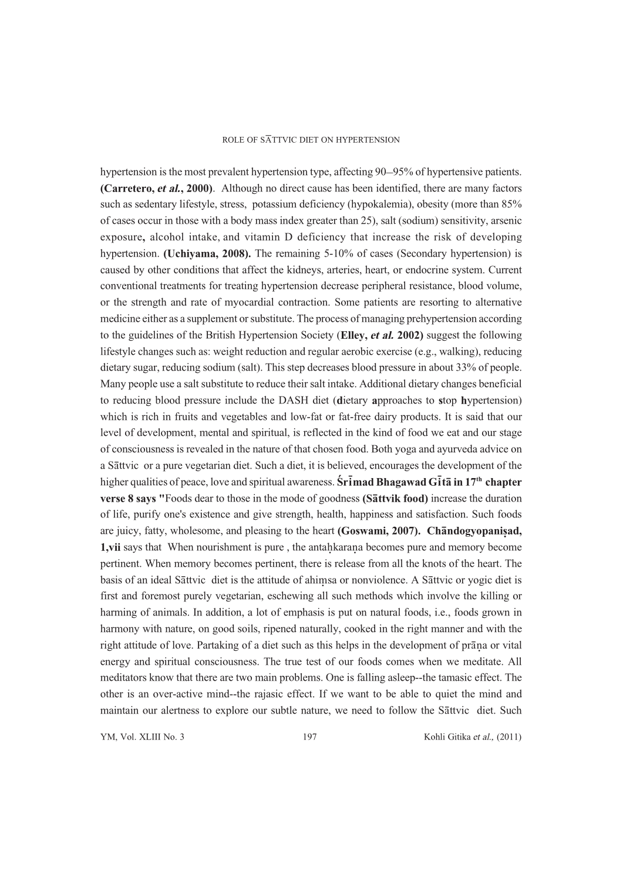hypertension is the most prevalent hypertension type, affecting 90–95% of hypertensive patients. (Carretero, et al., 2000). Although no direct cause has been identified, there are many factors such as sedentary lifestyle, stress, potassium deficiency (hypokalemia), obesity (more than 85% of cases occur in those with a body mass index greater than 25), salt (sodium) sensitivity, arsenic exposure, alcohol intake, and vitamin D deficiency that increase the risk of developing hypertension. (Uchiyama, 2008). The remaining 5-10% of cases (Secondary hypertension) is caused by other conditions that affect the kidneys, arteries, heart, or endocrine system. Current conventional treatments for treating hypertension decrease peripheral resistance, blood volume, or the strength and rate of myocardial contraction. Some patients are resorting to alternative medicine either as a supplement or substitute. The process of managing prehypertension according to the guidelines of the British Hypertension Society (Elley, et al. 2002) suggest the following lifestyle changes such as: weight reduction and regular aerobic exercise (e.g., walking), reducing dietary sugar, reducing sodium (salt). This step decreases blood pressure in about 33% of people. Many people use a salt substitute to reduce their salt intake. Additional dietary changes beneficial to reducing blood pressure include the DASH diet (dietary approaches to stop hypertension) which is rich in fruits and vegetables and low-fat or fat-free dairy products. It is said that our level of development, mental and spiritual, is reflected in the kind of food we eat and our stage of consciousness is revealed in the nature of that chosen food. Both yoga and ayurveda advice on a Sāttvic or a pure vegetarian diet. Such a diet, it is believed, encourages the development of the higher qualities of peace, love and spiritual awareness. Sr**imad Bhagawad Gita in 17<sup>th</sup> chapter** verse 8 says "Foods dear to those in the mode of goodness (Sattvik food) increase the duration of life, purify one's existence and give strength, health, happiness and satisfaction. Such foods are juicy, fatty, wholesome, and pleasing to the heart (Goswami, 2007). Chandogyopanisad, **1,vii** says that When nourishment is pure, the antahkarana becomes pure and memory become pertinent. When memory becomes pertinent, there is release from all the knots of the heart. The basis of an ideal Sāttvic diet is the attitude of ahimsa or nonviolence. A Sāttvic or yogic diet is first and foremost purely vegetarian, eschewing all such methods which involve the killing or harming of animals. In addition, a lot of emphasis is put on natural foods, i.e., foods grown in harmony with nature, on good soils, ripened naturally, cooked in the right manner and with the right attitude of love. Partaking of a diet such as this helps in the development of prana or vital energy and spiritual consciousness. The true test of our foods comes when we meditate. All meditators know that there are two main problems. One is falling asleep--the tamasic effect. The other is an over-active mind--the rajasic effect. If we want to be able to quiet the mind and maintain our alertness to explore our subtle nature, we need to follow the Sattvic diet. Such

YM, Vol. XLIII No. 3 197 Kohli Gitika et al., (2011)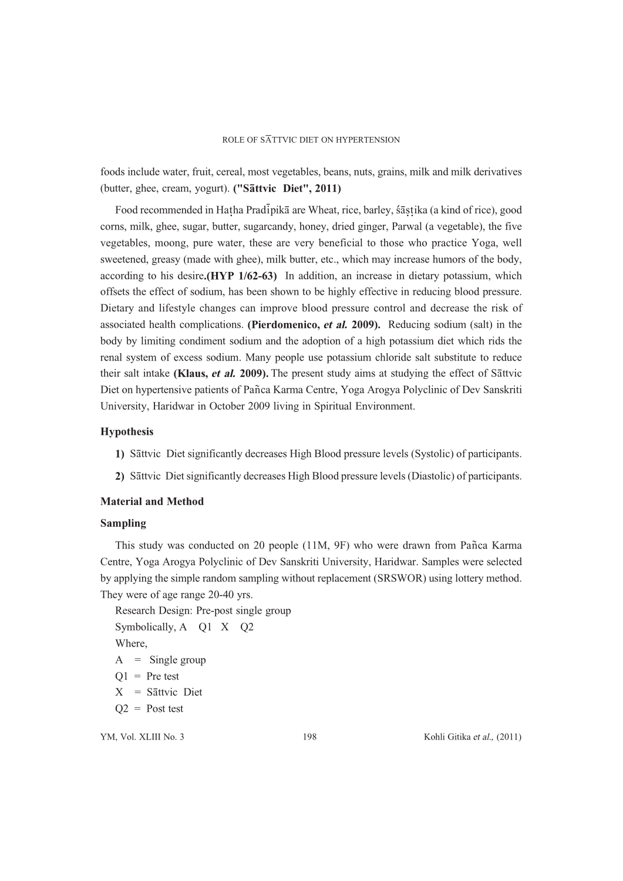foods include water, fruit, cereal, most vegetables, beans, nuts, grains, milk and milk derivatives (butter, ghee, cream, yogurt). ("Sattvic Diet", 2011)

Food recommended in Hatha Pradipikā are Wheat, rice, barley, śāstika (a kind of rice), good corns, milk, ghee, sugar, butter, sugarcandy, honey, dried ginger, Parwal (a vegetable), the five vegetables, moong, pure water, these are very beneficial to those who practice Yoga, well sweetened, greasy (made with ghee), milk butter, etc., which may increase humors of the body, according to his desire.  $(HYP 1/62-63)$  In addition, an increase in dietary potassium, which offsets the effect of sodium, has been shown to be highly effective in reducing blood pressure. Dietary and lifestyle changes can improve blood pressure control and decrease the risk of associated health complications. (Pierdomenico, et al. 2009). Reducing sodium (salt) in the body by limiting condiment sodium and the adoption of a high potassium diet which rids the renal system of excess sodium. Many people use potassium chloride salt substitute to reduce their salt intake (Klaus, et al. 2009). The present study aims at studying the effect of Sattvic Diet on hypertensive patients of Pañca Karma Centre, Yoga Arogya Polyclinic of Dev Sanskriti University, Haridwar in October 2009 living in Spiritual Environment.

## Hypothesis

- 1) Sattvic Diet significantly decreases High Blood pressure levels (Systolic) of participants.
- 2) Sāttvic Diet significantly decreases High Blood pressure levels (Diastolic) of participants.

# Material and Method

#### Sampling

This study was conducted on 20 people (11M, 9F) who were drawn from Panca Karma Centre, Yoga Arogya Polyclinic of Dev Sanskriti University, Haridwar. Samples were selected by applying the simple random sampling without replacement (SRSWOR) using lottery method. They were of age range 20-40 yrs.

Research Design: Pre-post single group Symbolically, A Q1 X Q2 Where,  $A =$  Single group  $Q1$  = Pre test  $X = S\bar{a}$ ttvic Diet  $Q2 =$  Post test

YM, Vol. XLIII No. 3 198 Kohli Gitika et al., (2011)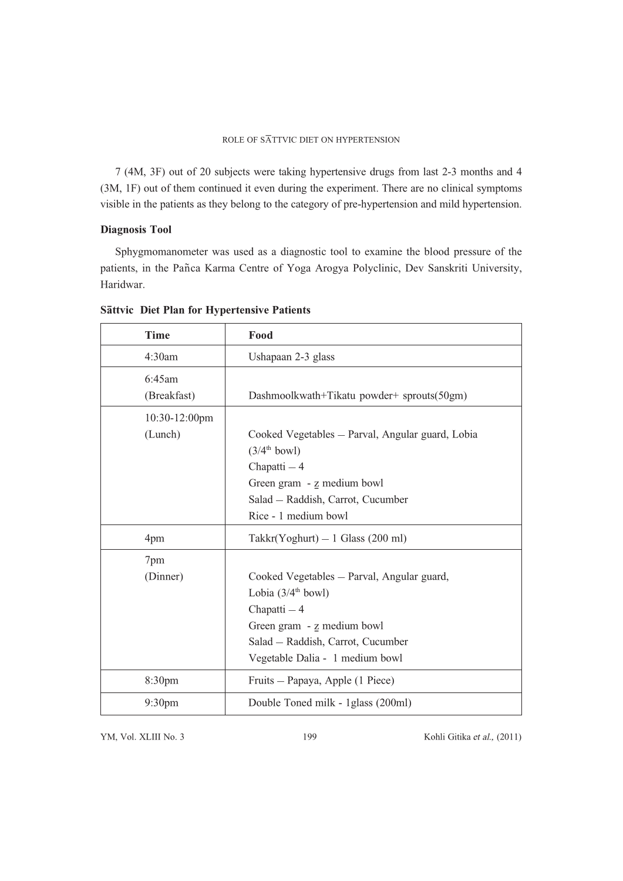7 (4M, 3F) out of 20 subjects were taking hypertensive drugs from last 2-3 months and 4 (3M, 1F) out of them continued it even during the experiment. There are no clinical symptoms visible in the patients as they belong to the category of pre-hypertension and mild hypertension.

# Diagnosis Tool

Sphygmomanometer was used as a diagnostic tool to examine the blood pressure of the patients, in the Pañca Karma Centre of Yoga Arogya Polyclinic, Dev Sanskriti University, Haridwar.

| <b>Time</b>              | Food                                                                                                                                                                                               |
|--------------------------|----------------------------------------------------------------------------------------------------------------------------------------------------------------------------------------------------|
| 4:30am                   | Ushapaan 2-3 glass                                                                                                                                                                                 |
| 6:45am<br>(Breakfast)    | Dashmoolkwath+Tikatu powder+ sprouts(50gm)                                                                                                                                                         |
| 10:30-12:00pm<br>(Lunch) | Cooked Vegetables - Parval, Angular guard, Lobia<br>$(3/4th$ bowl)<br>Chapatti - 4<br>Green gram - z medium bowl<br>Salad - Raddish, Carrot, Cucumber<br>Rice - 1 medium bowl                      |
| 4pm                      | $Takkr(Yoghurt) - 1$ Glass (200 ml)                                                                                                                                                                |
| 7pm<br>(Dinner)          | Cooked Vegetables - Parval, Angular guard,<br>Lobia $(3/4^{\text{th}}$ bowl)<br>Chapatti - 4<br>Green gram - z medium bowl<br>Salad - Raddish, Carrot, Cucumber<br>Vegetable Dalia - 1 medium bowl |
| 8:30pm                   | Fruits – Papaya, Apple (1 Piece)                                                                                                                                                                   |
| 9:30 <sub>pm</sub>       | Double Toned milk - 1 glass (200ml)                                                                                                                                                                |

# Sāttvic Diet Plan for Hypertensive Patients

YM, Vol. XLIII No. 3 199 Kohli Gitika et al., (2011)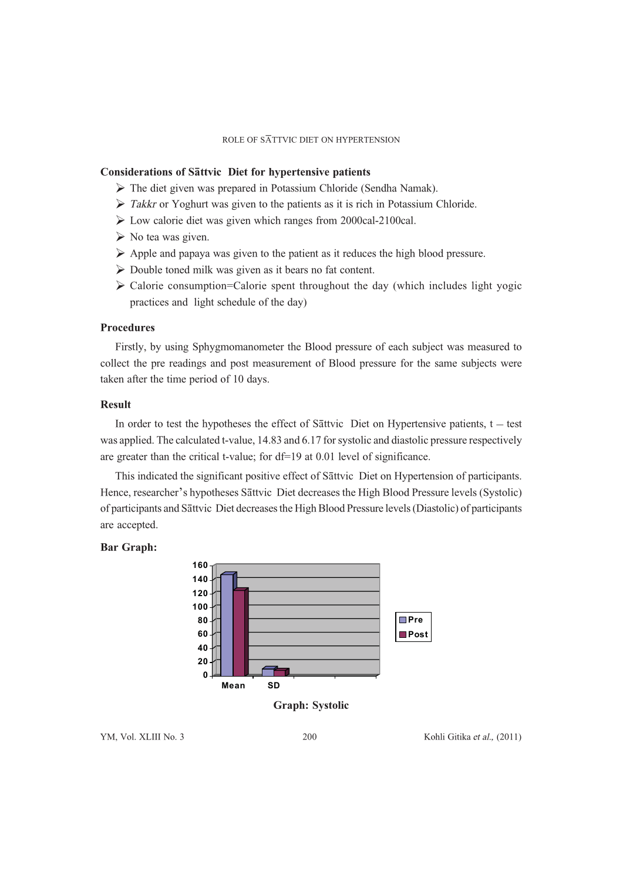#### Considerations of Sattvic Diet for hypertensive patients

- The diet given was prepared in Potassium Chloride (Sendha Namak).
- > Takkr or Yoghurt was given to the patients as it is rich in Potassium Chloride.
- Low calorie diet was given which ranges from 2000cal-2100cal.
- > No tea was given.
- Apple and papaya was given to the patient as it reduces the high blood pressure.
- Double toned milk was given as it bears no fat content.
- > Calorie consumption=Calorie spent throughout the day (which includes light yogic practices and light schedule of the day)

# Procedures

Firstly, by using Sphygmomanometer the Blood pressure of each subject was measured to collect the pre readings and post measurement of Blood pressure for the same subjects were taken after the time period of 10 days.

## Result

In order to test the hypotheses the effect of Sattvic Diet on Hypertensive patients,  $t - \text{test}$ was applied. The calculated t-value, 14.83 and 6.17 for systolic and diastolic pressure respectively are greater than the critical t-value; for df=19 at 0.01 level of significance.

This indicated the significant positive effect of Sattvic Diet on Hypertension of participants. Hence, researcher's hypotheses Sattvic Diet decreases the High Blood Pressure levels (Systolic) of participants and Sāttvic Diet decreases the High Blood Pressure levels (Diastolic) of participants are accepted.

### Bar Graph:



Graph: Systolic

YM, Vol. XLIII No. 3 200 Kohli Gitika et al., (2011)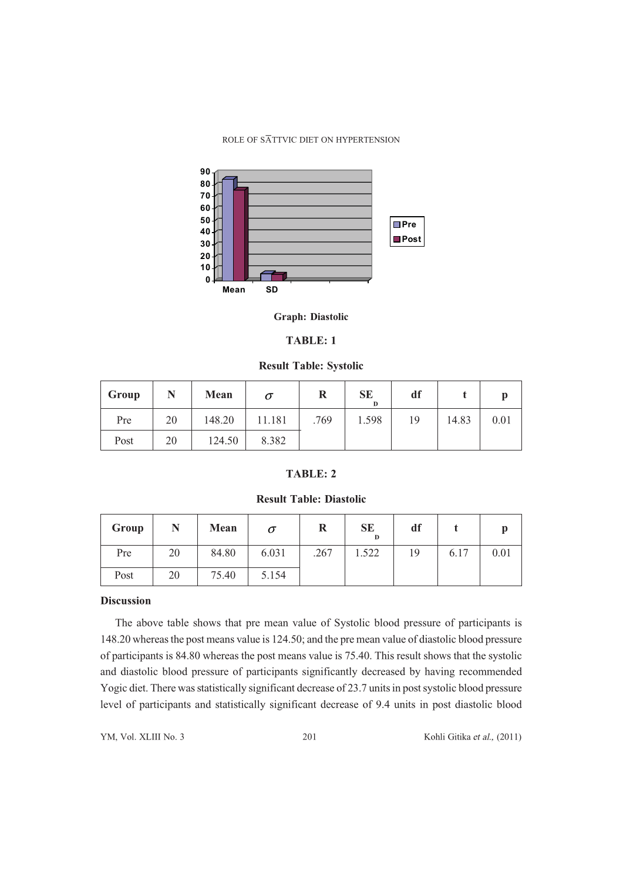

#### Graph: Diastolic

# TABLE: 1

### Result Table: Systolic

| Group |    | Mean   |        | R    | <b>SE</b><br>D | df |       |      |
|-------|----|--------|--------|------|----------------|----|-------|------|
| Pre   | 20 | 148.20 | 11.181 | .769 | 1.598          | 19 | 14.83 | 0.01 |
| Post  | 20 | 124.50 | 8.382  |      |                |    |       |      |

# TABLE: 2

# Result Table: Diastolic

| Group | N  | Mean  | $\bm{o}$ | R    | <b>SE</b><br>D | df |      |      |
|-------|----|-------|----------|------|----------------|----|------|------|
| Pre   | 20 | 84.80 | 6.031    | .267 | .522           | 19 | 6.17 | 0.01 |
| Post  | 20 | 75.40 | 5.154    |      |                |    |      |      |

#### Discussion

The above table shows that pre mean value of Systolic blood pressure of participants is 148.20 whereas the post means value is 124.50; and the pre mean value of diastolic blood pressure of participants is 84.80 whereas the post means value is 75.40. This result shows that the systolic and diastolic blood pressure of participants significantly decreased by having recommended Yogic diet. There was statistically significant decrease of 23.7 units in post systolic blood pressure level of participants and statistically significant decrease of 9.4 units in post diastolic blood

YM, Vol. XLIII No. 3 201 Kohli Gitika et al., (2011)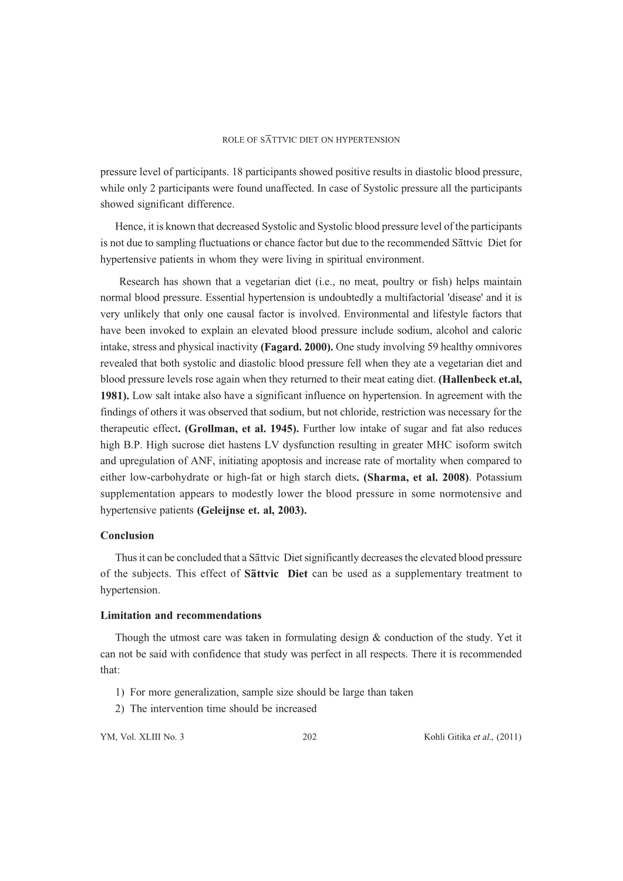pressure level of participants. 18 participants showed positive results in diastolic blood pressure, while only 2 participants were found unaffected. In case of Systolic pressure all the participants showed significant difference.

Hence, it is known that decreased Systolic and Systolic blood pressure level of the participants is not due to sampling fluctuations or chance factor but due to the recommended Sattvic Diet for hypertensive patients in whom they were living in spiritual environment.

 Research has shown that a vegetarian diet (i.e., no meat, poultry or fish) helps maintain normal blood pressure. Essential hypertension is undoubtedly a multifactorial 'disease' and it is very unlikely that only one causal factor is involved. Environmental and lifestyle factors that have been invoked to explain an elevated blood pressure include sodium, alcohol and caloric intake, stress and physical inactivity (Fagard. 2000). One study involving 59 healthy omnivores revealed that both systolic and diastolic blood pressure fell when they ate a vegetarian diet and blood pressure levels rose again when they returned to their meat eating diet. (Hallenbeck et.al, 1981). Low salt intake also have a significant influence on hypertension. In agreement with the findings of others it was observed that sodium, but not chloride, restriction was necessary for the therapeutic effect. (Grollman, et al. 1945). Further low intake of sugar and fat also reduces high B.P. High sucrose diet hastens LV dysfunction resulting in greater MHC isoform switch and upregulation of ANF, initiating apoptosis and increase rate of mortality when compared to either low-carbohydrate or high-fat or high starch diets. (Sharma, et al. 2008). Potassium supplementation appears to modestly lower the blood pressure in some normotensive and hypertensive patients (Geleijnse et. al, 2003).

## Conclusion

Thus it can be concluded that a Sattvic Diet significantly decreases the elevated blood pressure of the subjects. This effect of Sattvic Diet can be used as a supplementary treatment to hypertension.

# Limitation and recommendations

Though the utmost care was taken in formulating design & conduction of the study. Yet it can not be said with confidence that study was perfect in all respects. There it is recommended that:

- 1) For more generalization, sample size should be large than taken
- 2) The intervention time should be increased

YM, Vol. XLIII No. 3 202 Kohli Gitika et al., (2011)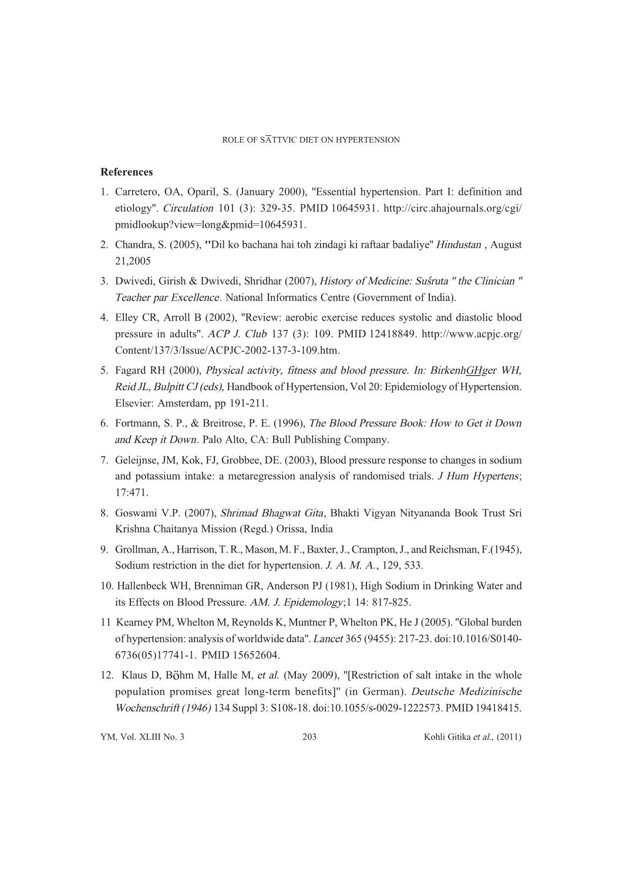# References

- 1. Carretero, OA, Oparil, S. (January 2000), ''Essential hypertension. Part I: definition and etiology''. Circulation 101 (3): 329-35. PMID 10645931. http://circ.ahajournals.org/cgi/ pmidlookup?view=long&pmid=10645931.
- 2. Chandra, S. (2005), ''Dil ko bachana hai toh zindagi ki raftaar badaliye'' Hindustan , August 21,2005
- 3. Dwivedi, Girish & Dwivedi, Shridhar (2007), History of Medicine: Suśruta " the Clinician " Teacher par Excellence. National Informatics Centre (Government of India).
- 4. Elley CR, Arroll B (2002), ''Review: aerobic exercise reduces systolic and diastolic blood pressure in adults''. ACP J. Club 137 (3): 109. PMID 12418849. http://www.acpjc.org/ Content/137/3/Issue/ACPJC-2002-137-3-109.htm.
- 5. Fagard RH (2000), *Physical activity, fitness and blood pressure. In: BirkenhGHger WH,* Reid JL, Bulpitt CJ (eds), Handbook of Hypertension, Vol 20: Epidemiology of Hypertension. Elsevier: Amsterdam, pp 191-211.
- 6. Fortmann, S. P., & Breitrose, P. E. (1996), The Blood Pressure Book: How to Get it Down and Keep it Down. Palo Alto, CA: Bull Publishing Company.
- 7. Geleijnse, JM, Kok, FJ, Grobbee, DE. (2003), Blood pressure response to changes in sodium and potassium intake: a metaregression analysis of randomised trials. J Hum Hypertens; 17:471.
- 8. Goswami V.P. (2007), Shrimad Bhagwat Gita, Bhakti Vigyan Nityananda Book Trust Sri Krishna Chaitanya Mission (Regd.) Orissa, India
- 9. Grollman, A., Harrison, T. R., Mason, M. F., Baxter, J., Crampton, J., and Reichsman, F.(1945), Sodium restriction in the diet for hypertension. J. A. M. A., 129, 533.
- 10. Hallenbeck WH, Brenniman GR, Anderson PJ (1981), High Sodium in Drinking Water and its Effects on Blood Pressure. AM. J. Epidemology;1 14: 817-825.
- 11 Kearney PM, Whelton M, Reynolds K, Muntner P, Whelton PK, He J (2005). ''Global burden of hypertension: analysis of worldwide data''. Lancet 365 (9455): 217-23. doi:10.1016/S0140- 6736(05)17741-1. PMID 15652604.
- 12. Klaus D, Böhm M, Halle M, et al. (May 2009), "[Restriction of salt intake in the whole population promises great long-term benefits]'' (in German). Deutsche Medizinische Wochenschrift (1946) 134 Suppl 3: S108-18. doi:10.1055/s-0029-1222573. PMID 19418415.

YM, Vol. XLIII No. 3 203 Kohli Gitika et al., (2011)